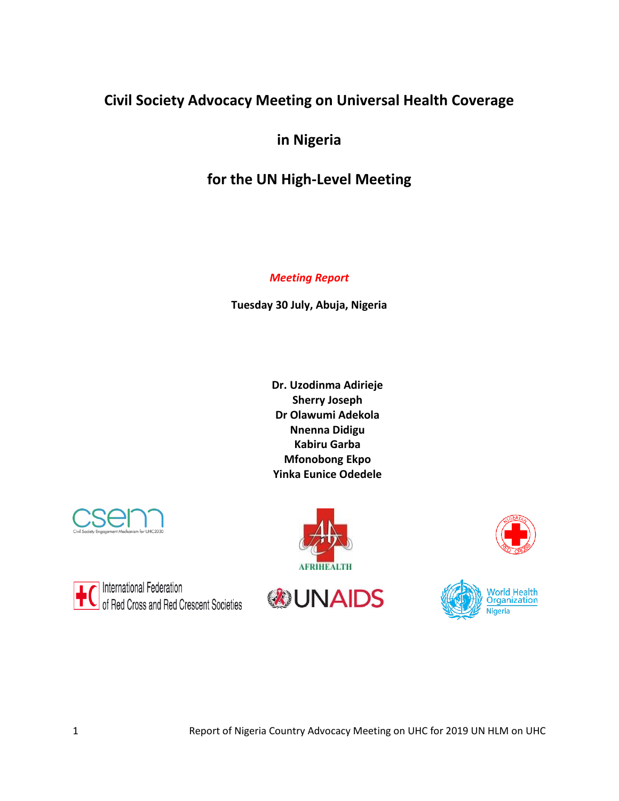# **Civil Society Advocacy Meeting on Universal Health Coverage**

**in Nigeria** 

# **for the UN High-Level Meeting**

### *Meeting Report*

**Tuesday 30 July, Abuja, Nigeria** 

**Dr. Uzodinma Adirieje Sherry Joseph Dr Olawumi Adekola Nnenna Didigu Kabiru Garba Mfonobong Ekpo Yinka Eunice Odedele**



**International Federation** of Red Cross and Red Crescent Societies





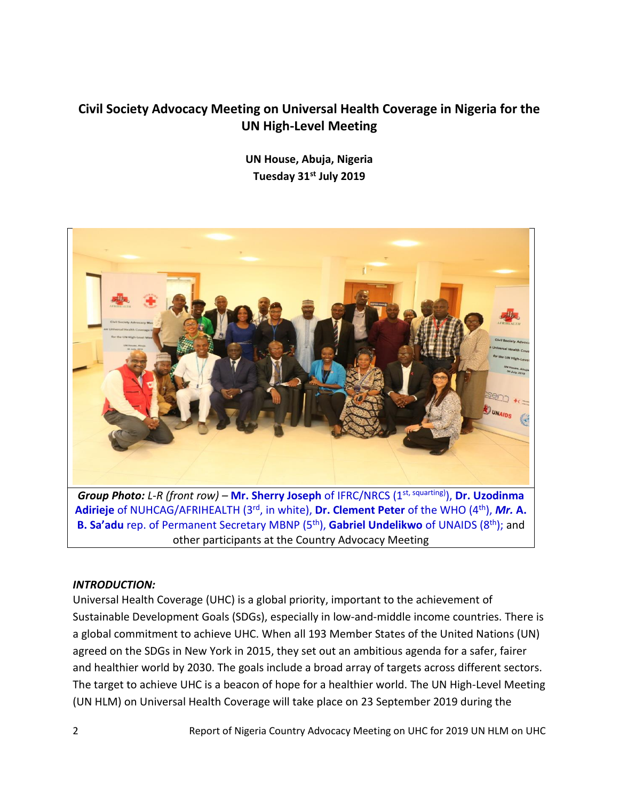## **Civil Society Advocacy Meeting on Universal Health Coverage in Nigeria for the UN High-Level Meeting**

**UN House, Abuja, Nigeria Tuesday 31st July 2019**



**Adirieje** of NUHCAG/AFRIHEALTH (3rd, in white), **Dr. Clement Peter** of the WHO (4th), *Mr.* **A. B. Sa'adu** rep. of Permanent Secretary MBNP (5<sup>th</sup>), **Gabriel Undelikwo** of UNAIDS (8<sup>th</sup>); and other participants at the Country Advocacy Meeting

#### *INTRODUCTION:*

Universal Health Coverage (UHC) is a global priority, important to the achievement of Sustainable Development Goals (SDGs), especially in low-and-middle income countries. There is a global commitment to achieve UHC. When all 193 Member States of the United Nations (UN) agreed on the SDGs in New York in 2015, they set out an ambitious agenda for a safer, fairer and healthier world by 2030. The goals include a broad array of targets across different sectors. The target to achieve UHC is a beacon of hope for a healthier world. The UN High-Level Meeting (UN HLM) on Universal Health Coverage will take place on 23 September 2019 during the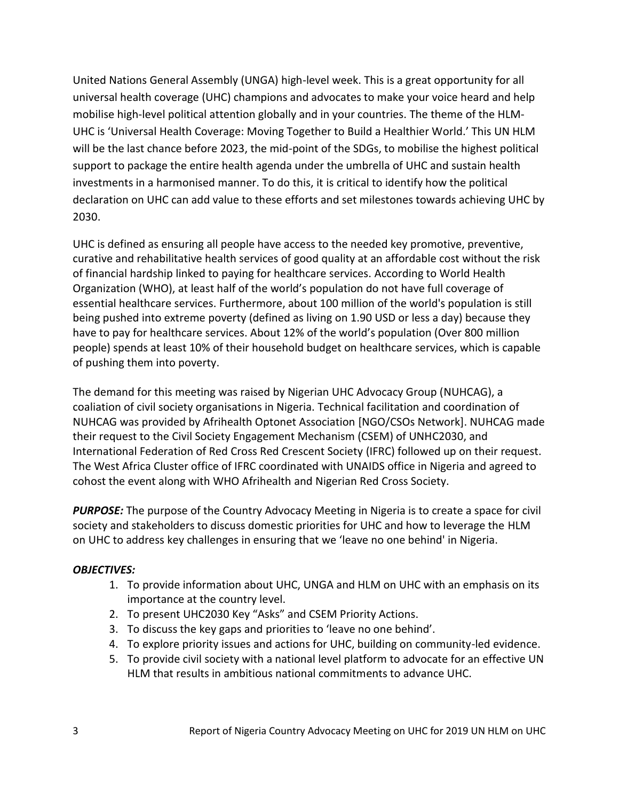United Nations General Assembly (UNGA) high-level week. This is a great opportunity for all universal health coverage (UHC) champions and advocates to make your voice heard and help mobilise high-level political attention globally and in your countries. The theme of the HLM-UHC is 'Universal Health Coverage: Moving Together to Build a Healthier World.' This UN HLM will be the last chance before 2023, the mid-point of the SDGs, to mobilise the highest political support to package the entire health agenda under the umbrella of UHC and sustain health investments in a harmonised manner. To do this, it is critical to identify how the political declaration on UHC can add value to these efforts and set milestones towards achieving UHC by 2030.

UHC is defined as ensuring all people have access to the needed key promotive, preventive, curative and rehabilitative health services of good quality at an affordable cost without the risk of financial hardship linked to paying for healthcare services. According to World Health Organization (WHO), at least half of the world's population do not have full coverage of essential healthcare services. Furthermore, about 100 million of the world's population is still being pushed into extreme poverty (defined as living on 1.90 USD or less a day) because they have to pay for healthcare services. About 12% of the world's population (Over 800 million people) spends at least 10% of their household budget on healthcare services, which is capable of pushing them into poverty.

The demand for this meeting was raised by Nigerian UHC Advocacy Group (NUHCAG), a coaliation of civil society organisations in Nigeria. Technical facilitation and coordination of NUHCAG was provided by Afrihealth Optonet Association [NGO/CSOs Network]. NUHCAG made their request to the Civil Society Engagement Mechanism (CSEM) of UNHC2030, and International Federation of Red Cross Red Crescent Society (IFRC) followed up on their request. The West Africa Cluster office of IFRC coordinated with UNAIDS office in Nigeria and agreed to cohost the event along with WHO Afrihealth and Nigerian Red Cross Society.

*PURPOSE:* The purpose of the Country Advocacy Meeting in Nigeria is to create a space for civil society and stakeholders to discuss domestic priorities for UHC and how to leverage the HLM on UHC to address key challenges in ensuring that we 'leave no one behind' in Nigeria.

### *OBJECTIVES:*

- 1. To provide information about UHC, UNGA and HLM on UHC with an emphasis on its importance at the country level.
- 2. To present UHC2030 Key "Asks" and CSEM Priority Actions.
- 3. To discuss the key gaps and priorities to 'leave no one behind'.
- 4. To explore priority issues and actions for UHC, building on community-led evidence.
- 5. To provide civil society with a national level platform to advocate for an effective UN HLM that results in ambitious national commitments to advance UHC.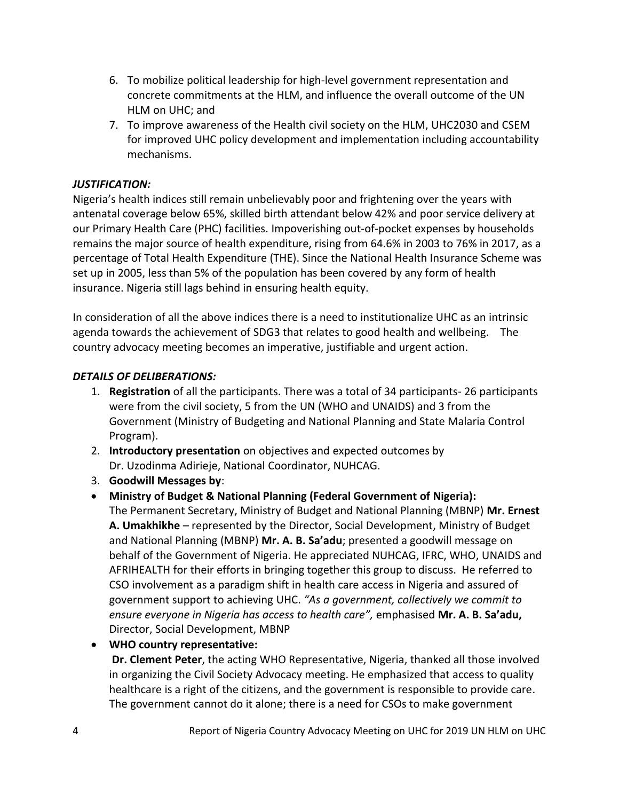- 6. To mobilize political leadership for high-level government representation and concrete commitments at the HLM, and influence the overall outcome of the UN HLM on UHC; and
- 7. To improve awareness of the Health civil society on the HLM, UHC2030 and CSEM for improved UHC policy development and implementation including accountability mechanisms.

### *JUSTIFICATION:*

Nigeria's health indices still remain unbelievably poor and frightening over the years with antenatal coverage below 65%, skilled birth attendant below 42% and poor service delivery at our Primary Health Care (PHC) facilities. Impoverishing out-of-pocket expenses by households remains the major source of health expenditure, rising from 64.6% in 2003 to 76% in 2017, as a percentage of Total Health Expenditure (THE). Since the National Health Insurance Scheme was set up in 2005, less than 5% of the population has been covered by any form of health insurance. Nigeria still lags behind in ensuring health equity.

In consideration of all the above indices there is a need to institutionalize UHC as an intrinsic agenda towards the achievement of SDG3 that relates to good health and wellbeing. The country advocacy meeting becomes an imperative, justifiable and urgent action.

### *DETAILS OF DELIBERATIONS:*

- 1. **Registration** of all the participants. There was a total of 34 participants- 26 participants were from the civil society, 5 from the UN (WHO and UNAIDS) and 3 from the Government (Ministry of Budgeting and National Planning and State Malaria Control Program).
- 2. **Introductory presentation** on objectives and expected outcomes by Dr. Uzodinma Adirieje, National Coordinator, NUHCAG.
- 3. **Goodwill Messages by**:
- **Ministry of Budget & National Planning (Federal Government of Nigeria):** The Permanent Secretary, Ministry of Budget and National Planning (MBNP) **Mr. Ernest A. Umakhikhe** – represented by the Director, Social Development, Ministry of Budget and National Planning (MBNP) **Mr. A. B. Sa'adu**; presented a goodwill message on behalf of the Government of Nigeria. He appreciated NUHCAG, IFRC, WHO, UNAIDS and AFRIHEALTH for their efforts in bringing together this group to discuss. He referred to CSO involvement as a paradigm shift in health care access in Nigeria and assured of government support to achieving UHC. *"As a government, collectively we commit to ensure everyone in Nigeria has access to health care",* emphasised **Mr. A. B. Sa'adu,** Director, Social Development, MBNP
- **WHO country representative:**

**Dr. Clement Peter**, the acting WHO Representative, Nigeria, thanked all those involved in organizing the Civil Society Advocacy meeting. He emphasized that access to quality healthcare is a right of the citizens, and the government is responsible to provide care. The government cannot do it alone; there is a need for CSOs to make government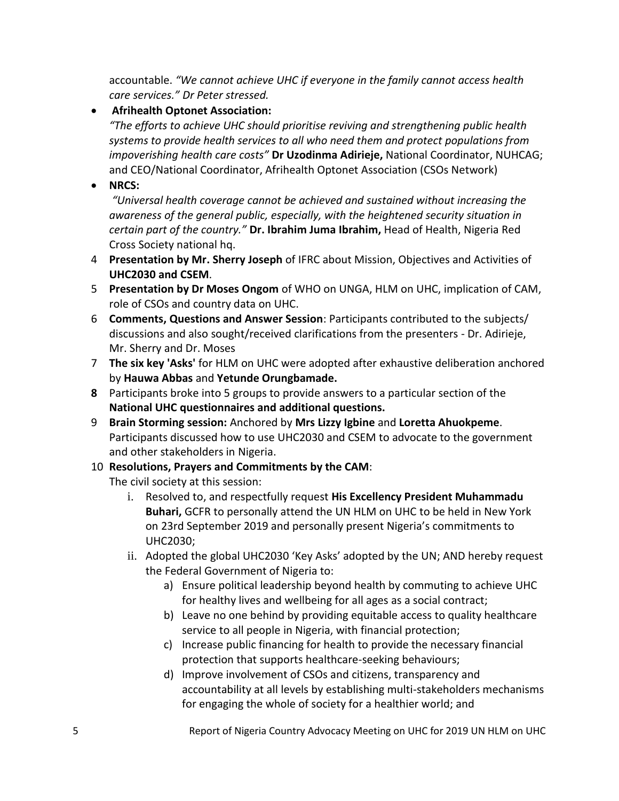accountable. *"We cannot achieve UHC if everyone in the family cannot access health care services." Dr Peter stressed.*

## **Afrihealth Optonet Association:**

*"The efforts to achieve UHC should prioritise reviving and strengthening public health systems to provide health services to all who need them and protect populations from impoverishing health care costs"* **Dr Uzodinma Adirieje,** National Coordinator, NUHCAG; and CEO/National Coordinator, Afrihealth Optonet Association (CSOs Network)

**NRCS:**

*"Universal health coverage cannot be achieved and sustained without increasing the awareness of the general public, especially, with the heightened security situation in certain part of the country."* **Dr. Ibrahim Juma Ibrahim,** Head of Health, Nigeria Red Cross Society national hq.

- 4 **Presentation by Mr. Sherry Joseph** of IFRC about Mission, Objectives and Activities of **UHC2030 and CSEM**.
- 5 **Presentation by Dr Moses Ongom** of WHO on UNGA, HLM on UHC, implication of CAM, role of CSOs and country data on UHC.
- 6 **Comments, Questions and Answer Session**: Participants contributed to the subjects/ discussions and also sought/received clarifications from the presenters - Dr. Adirieje, Mr. Sherry and Dr. Moses
- 7 **The six key 'Asks'** for HLM on UHC were adopted after exhaustive deliberation anchored by **Hauwa Abbas** and **Yetunde Orungbamade.**
- **8** Participants broke into 5 groups to provide answers to a particular section of the **National UHC questionnaires and additional questions.**
- 9 **Brain Storming session:** Anchored by **Mrs Lizzy Igbine** and **Loretta Ahuokpeme**. Participants discussed how to use UHC2030 and CSEM to advocate to the government and other stakeholders in Nigeria.
- 10 **Resolutions, Prayers and Commitments by the CAM**:

The civil society at this session:

- i. Resolved to, and respectfully request **His Excellency President Muhammadu Buhari,** GCFR to personally attend the UN HLM on UHC to be held in New York on 23rd September 2019 and personally present Nigeria's commitments to UHC2030;
- ii. Adopted the global UHC2030 'Key Asks' adopted by the UN; AND hereby request the Federal Government of Nigeria to:
	- a) Ensure political leadership beyond health by commuting to achieve UHC for healthy lives and wellbeing for all ages as a social contract;
	- b) Leave no one behind by providing equitable access to quality healthcare service to all people in Nigeria, with financial protection;
	- c) Increase public financing for health to provide the necessary financial protection that supports healthcare-seeking behaviours;
	- d) Improve involvement of CSOs and citizens, transparency and accountability at all levels by establishing multi-stakeholders mechanisms for engaging the whole of society for a healthier world; and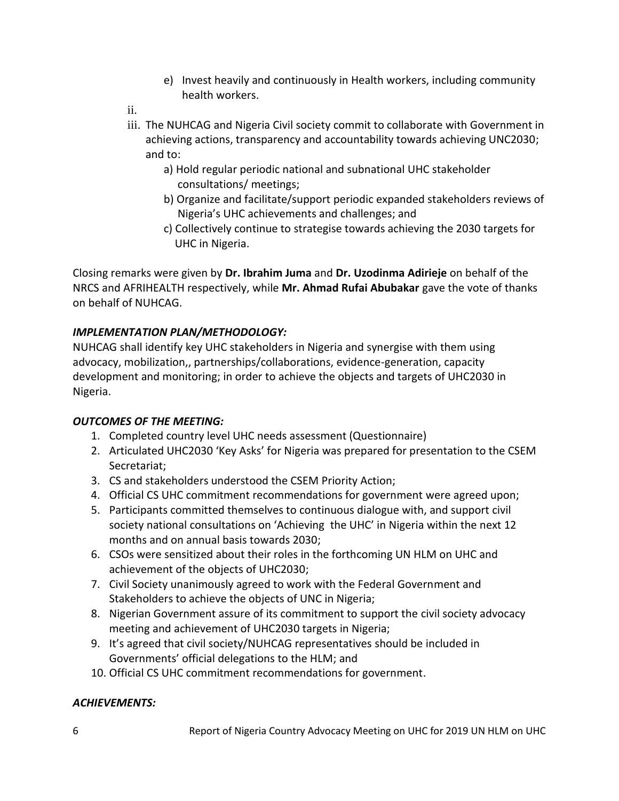- e) Invest heavily and continuously in Health workers, including community health workers.
- ii.
- iii. The NUHCAG and Nigeria Civil society commit to collaborate with Government in achieving actions, transparency and accountability towards achieving UNC2030; and to:
	- a) Hold regular periodic national and subnational UHC stakeholder consultations/ meetings;
	- b) Organize and facilitate/support periodic expanded stakeholders reviews of Nigeria's UHC achievements and challenges; and
	- c) Collectively continue to strategise towards achieving the 2030 targets for UHC in Nigeria.

Closing remarks were given by **Dr. Ibrahim Juma** and **Dr. Uzodinma Adirieje** on behalf of the NRCS and AFRIHEALTH respectively, while **Mr. Ahmad Rufai Abubakar** gave the vote of thanks on behalf of NUHCAG.

## *IMPLEMENTATION PLAN/METHODOLOGY:*

NUHCAG shall identify key UHC stakeholders in Nigeria and synergise with them using advocacy, mobilization,, partnerships/collaborations, evidence-generation, capacity development and monitoring; in order to achieve the objects and targets of UHC2030 in Nigeria.

## *OUTCOMES OF THE MEETING:*

- 1. Completed country level UHC needs assessment (Questionnaire)
- 2. Articulated UHC2030 'Key Asks' for Nigeria was prepared for presentation to the CSEM Secretariat;
- 3. CS and stakeholders understood the CSEM Priority Action;
- 4. Official CS UHC commitment recommendations for government were agreed upon;
- 5. Participants committed themselves to continuous dialogue with, and support civil society national consultations on 'Achieving the UHC' in Nigeria within the next 12 months and on annual basis towards 2030;
- 6. CSOs were sensitized about their roles in the forthcoming UN HLM on UHC and achievement of the objects of UHC2030;
- 7. Civil Society unanimously agreed to work with the Federal Government and Stakeholders to achieve the objects of UNC in Nigeria;
- 8. Nigerian Government assure of its commitment to support the civil society advocacy meeting and achievement of UHC2030 targets in Nigeria;
- 9. It's agreed that civil society/NUHCAG representatives should be included in Governments' official delegations to the HLM; and
- 10. Official CS UHC commitment recommendations for government.

## *ACHIEVEMENTS:*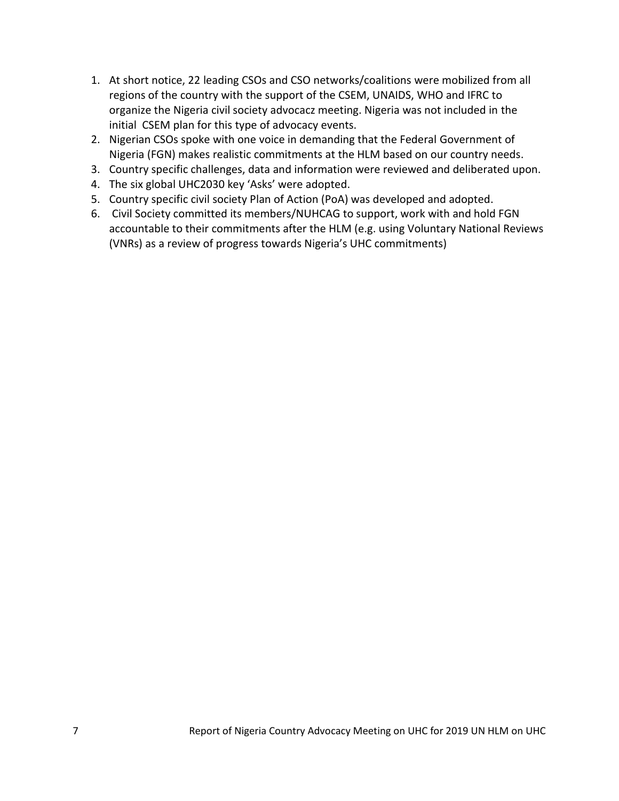- 1. At short notice, 22 leading CSOs and CSO networks/coalitions were mobilized from all regions of the country with the support of the CSEM, UNAIDS, WHO and IFRC to organize the Nigeria civil society advocacz meeting. Nigeria was not included in the initial CSEM plan for this type of advocacy events.
- 2. Nigerian CSOs spoke with one voice in demanding that the Federal Government of Nigeria (FGN) makes realistic commitments at the HLM based on our country needs.
- 3. Country specific challenges, data and information were reviewed and deliberated upon.
- 4. The six global UHC2030 key 'Asks' were adopted.
- 5. Country specific civil society Plan of Action (PoA) was developed and adopted.
- 6. Civil Society committed its members/NUHCAG to support, work with and hold FGN accountable to their commitments after the HLM (e.g. using Voluntary National Reviews (VNRs) as a review of progress towards Nigeria's UHC commitments)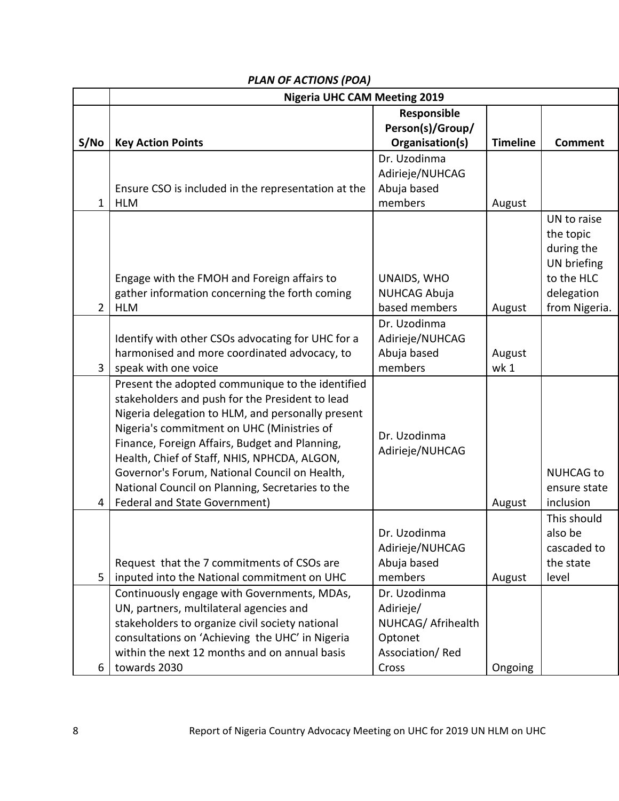|                | <b>Nigeria UHC CAM Meeting 2019</b>                                                                                                                                                                                                                                                                                                                                                                                                                   |                                                                                        |                 |                                                                                                    |  |  |
|----------------|-------------------------------------------------------------------------------------------------------------------------------------------------------------------------------------------------------------------------------------------------------------------------------------------------------------------------------------------------------------------------------------------------------------------------------------------------------|----------------------------------------------------------------------------------------|-----------------|----------------------------------------------------------------------------------------------------|--|--|
| S/No           | <b>Key Action Points</b>                                                                                                                                                                                                                                                                                                                                                                                                                              | Responsible<br>Person(s)/Group/<br>Organisation(s)                                     | <b>Timeline</b> | <b>Comment</b>                                                                                     |  |  |
| $\mathbf{1}$   | Ensure CSO is included in the representation at the<br><b>HLM</b>                                                                                                                                                                                                                                                                                                                                                                                     | Dr. Uzodinma<br>Adirieje/NUHCAG<br>Abuja based<br>members                              | August          |                                                                                                    |  |  |
| $\overline{2}$ | Engage with the FMOH and Foreign affairs to<br>gather information concerning the forth coming<br><b>HLM</b>                                                                                                                                                                                                                                                                                                                                           | UNAIDS, WHO<br><b>NUHCAG Abuja</b><br>based members                                    | August          | UN to raise<br>the topic<br>during the<br>UN briefing<br>to the HLC<br>delegation<br>from Nigeria. |  |  |
| 3              | Identify with other CSOs advocating for UHC for a<br>harmonised and more coordinated advocacy, to<br>speak with one voice                                                                                                                                                                                                                                                                                                                             | Dr. Uzodinma<br>Adirieje/NUHCAG<br>Abuja based<br>members                              | August<br>wk 1  |                                                                                                    |  |  |
| 4              | Present the adopted communique to the identified<br>stakeholders and push for the President to lead<br>Nigeria delegation to HLM, and personally present<br>Nigeria's commitment on UHC (Ministries of<br>Finance, Foreign Affairs, Budget and Planning,<br>Health, Chief of Staff, NHIS, NPHCDA, ALGON,<br>Governor's Forum, National Council on Health,<br>National Council on Planning, Secretaries to the<br><b>Federal and State Government)</b> | Dr. Uzodinma<br>Adirieje/NUHCAG                                                        | August          | <b>NUHCAG to</b><br>ensure state<br>inclusion                                                      |  |  |
| 5              | Request that the 7 commitments of CSOs are<br>inputed into the National commitment on UHC                                                                                                                                                                                                                                                                                                                                                             | Dr. Uzodinma<br>Adirieje/NUHCAG<br>Abuja based<br>members                              | August          | This should<br>also be<br>cascaded to<br>the state<br>level                                        |  |  |
| 6              | Continuously engage with Governments, MDAs,<br>UN, partners, multilateral agencies and<br>stakeholders to organize civil society national<br>consultations on 'Achieving the UHC' in Nigeria<br>within the next 12 months and on annual basis<br>towards 2030                                                                                                                                                                                         | Dr. Uzodinma<br>Adirieje/<br>NUHCAG/ Afrihealth<br>Optonet<br>Association/Red<br>Cross | Ongoing         |                                                                                                    |  |  |

## *PLAN OF ACTIONS (POA)*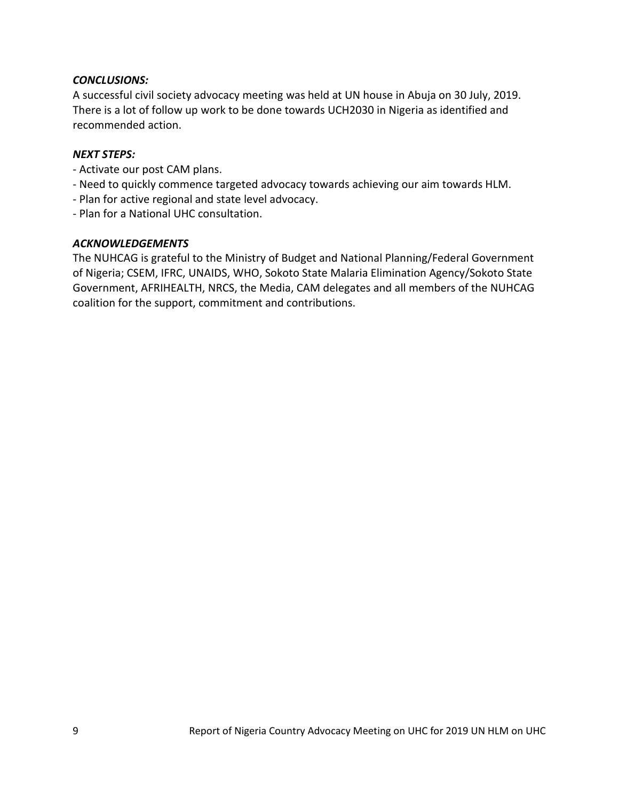#### *CONCLUSIONS:*

A successful civil society advocacy meeting was held at UN house in Abuja on 30 July, 2019. There is a lot of follow up work to be done towards UCH2030 in Nigeria as identified and recommended action.

#### *NEXT STEPS:*

- Activate our post CAM plans.
- Need to quickly commence targeted advocacy towards achieving our aim towards HLM.
- Plan for active regional and state level advocacy.
- Plan for a National UHC consultation.

#### *ACKNOWLEDGEMENTS*

The NUHCAG is grateful to the Ministry of Budget and National Planning/Federal Government of Nigeria; CSEM, IFRC, UNAIDS, WHO, Sokoto State Malaria Elimination Agency/Sokoto State Government, AFRIHEALTH, NRCS, the Media, CAM delegates and all members of the NUHCAG coalition for the support, commitment and contributions.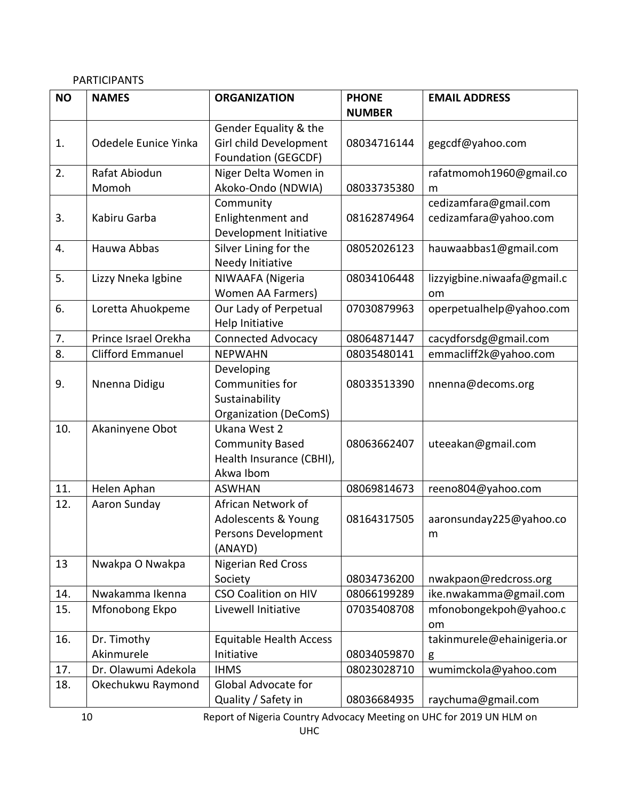## PARTICIPANTS

| <b>NO</b> | <b>NAMES</b>              | <b>ORGANIZATION</b>                                                             | <b>PHONE</b><br><b>NUMBER</b> | <b>EMAIL ADDRESS</b>                           |
|-----------|---------------------------|---------------------------------------------------------------------------------|-------------------------------|------------------------------------------------|
| 1.        | Odedele Eunice Yinka      | Gender Equality & the<br>Girl child Development<br>Foundation (GEGCDF)          | 08034716144                   | gegcdf@yahoo.com                               |
| 2.        | Rafat Abiodun<br>Momoh    | Niger Delta Women in<br>Akoko-Ondo (NDWIA)                                      | 08033735380                   | rafatmomoh1960@gmail.co<br>m                   |
| 3.        | Kabiru Garba              | Community<br>Enlightenment and<br>Development Initiative                        | 08162874964                   | cedizamfara@gmail.com<br>cedizamfara@yahoo.com |
| 4.        | Hauwa Abbas               | Silver Lining for the<br>Needy Initiative                                       | 08052026123                   | hauwaabbas1@gmail.com                          |
| 5.        | Lizzy Nneka Igbine        | NIWAAFA (Nigeria<br><b>Women AA Farmers)</b>                                    | 08034106448                   | lizzyigbine.niwaafa@gmail.c<br>om              |
| 6.        | Loretta Ahuokpeme         | Our Lady of Perpetual<br>Help Initiative                                        | 07030879963                   | operpetualhelp@yahoo.com                       |
| 7.        | Prince Israel Orekha      | Connected Advocacy                                                              | 08064871447                   | cacydforsdg@gmail.com                          |
| 8.        | <b>Clifford Emmanuel</b>  | <b>NEPWAHN</b>                                                                  | 08035480141                   | emmacliff2k@yahoo.com                          |
| 9.        | Nnenna Didigu             | Developing<br>Communities for<br>Sustainability<br><b>Organization (DeComS)</b> | 08033513390                   | nnenna@decoms.org                              |
| 10.       | Akaninyene Obot           | Ukana West 2<br><b>Community Based</b><br>Health Insurance (CBHI),<br>Akwa Ibom | 08063662407                   | uteeakan@gmail.com                             |
| 11.       | Helen Aphan               | <b>ASWHAN</b>                                                                   | 08069814673                   | reeno804@yahoo.com                             |
| 12.       | Aaron Sunday              | African Network of<br>Adolescents & Young<br>Persons Development<br>(ANAYD)     | 08164317505                   | aaronsunday225@yahoo.co<br>m                   |
| 13        | Nwakpa O Nwakpa           | <b>Nigerian Red Cross</b><br>Society                                            | 08034736200                   | nwakpaon@redcross.org                          |
| 14.       | Nwakamma Ikenna           | <b>CSO Coalition on HIV</b>                                                     | 08066199289                   | ike.nwakamma@gmail.com                         |
| 15.       | Mfonobong Ekpo            | Livewell Initiative                                                             | 07035408708                   | mfonobongekpoh@yahoo.c<br>om                   |
| 16.       | Dr. Timothy<br>Akinmurele | <b>Equitable Health Access</b><br>Initiative                                    | 08034059870                   | takinmurele@ehainigeria.or<br>g                |
| 17.       | Dr. Olawumi Adekola       | <b>IHMS</b>                                                                     | 08023028710                   | wumimckola@yahoo.com                           |
| 18.       | Okechukwu Raymond         | Global Advocate for<br>Quality / Safety in                                      | 08036684935                   | raychuma@gmail.com                             |

10 Report of Nigeria Country Advocacy Meeting on UHC for 2019 UN HLM on